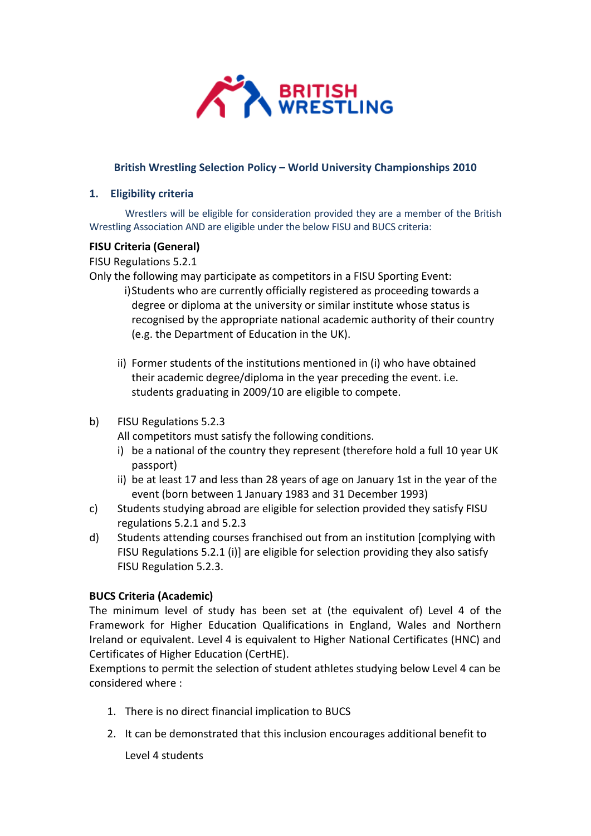

## **British Wrestling Selection Policy – World University Championships 2010**

## **1. Eligibility criteria**

Wrestlers will be eligible for consideration provided they are a member of the British Wrestling Association AND are eligible under the below FISU and BUCS criteria:

## **FISU Criteria (General)**

FISU Regulations 5.2.1

Only the following may participate as competitors in a FISU Sporting Event:

- i)Students who are currently officially registered as proceeding towards a degree or diploma at the university or similar institute whose status is recognised by the appropriate national academic authority of their country (e.g. the Department of Education in the UK).
- ii) Former students of the institutions mentioned in (i) who have obtained their academic degree/diploma in the year preceding the event. i.e. students graduating in 2009/10 are eligible to compete.
- b) FISU Regulations 5.2.3

All competitors must satisfy the following conditions.

- i) be a national of the country they represent (therefore hold a full 10 year UK passport)
- ii) be at least 17 and less than 28 years of age on January 1st in the year of the event (born between 1 January 1983 and 31 December 1993)
- c) Students studying abroad are eligible for selection provided they satisfy FISU regulations 5.2.1 and 5.2.3
- d) Students attending courses franchised out from an institution [complying with FISU Regulations 5.2.1 (i)] are eligible for selection providing they also satisfy FISU Regulation 5.2.3.

# **BUCS Criteria (Academic)**

The minimum level of study has been set at (the equivalent of) Level 4 of the Framework for Higher Education Qualifications in England, Wales and Northern Ireland or equivalent. Level 4 is equivalent to Higher National Certificates (HNC) and Certificates of Higher Education (CertHE).

Exemptions to permit the selection of student athletes studying below Level 4 can be considered where :

- 1. There is no direct financial implication to BUCS
- 2. It can be demonstrated that this inclusion encourages additional benefit to

Level 4 students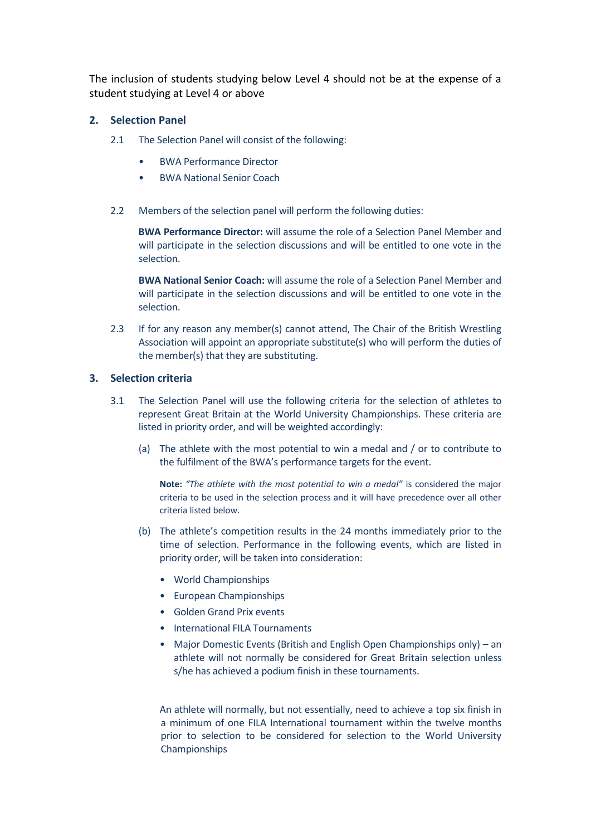The inclusion of students studying below Level 4 should not be at the expense of a student studying at Level 4 or above

## **2. Selection Panel**

- 2.1 The Selection Panel will consist of the following:
	- BWA Performance Director
	- BWA National Senior Coach
- 2.2 Members of the selection panel will perform the following duties:

**BWA Performance Director:** will assume the role of a Selection Panel Member and will participate in the selection discussions and will be entitled to one vote in the selection.

**BWA National Senior Coach:** will assume the role of a Selection Panel Member and will participate in the selection discussions and will be entitled to one vote in the selection.

2.3 If for any reason any member(s) cannot attend, The Chair of the British Wrestling Association will appoint an appropriate substitute(s) who will perform the duties of the member(s) that they are substituting.

### **3. Selection criteria**

- 3.1 The Selection Panel will use the following criteria for the selection of athletes to represent Great Britain at the World University Championships. These criteria are listed in priority order, and will be weighted accordingly:
	- (a) The athlete with the most potential to win a medal and / or to contribute to the fulfilment of the BWA's performance targets for the event.

**Note:** *"The athlete with the most potential to win a medal"* is considered the major criteria to be used in the selection process and it will have precedence over all other criteria listed below.

- (b) The athlete's competition results in the 24 months immediately prior to the time of selection. Performance in the following events, which are listed in priority order, will be taken into consideration:
	- World Championships
	- European Championships
	- Golden Grand Prix events
	- International FILA Tournaments
	- Major Domestic Events (British and English Open Championships only) an athlete will not normally be considered for Great Britain selection unless s/he has achieved a podium finish in these tournaments.

An athlete will normally, but not essentially, need to achieve a top six finish in a minimum of one FILA International tournament within the twelve months prior to selection to be considered for selection to the World University Championships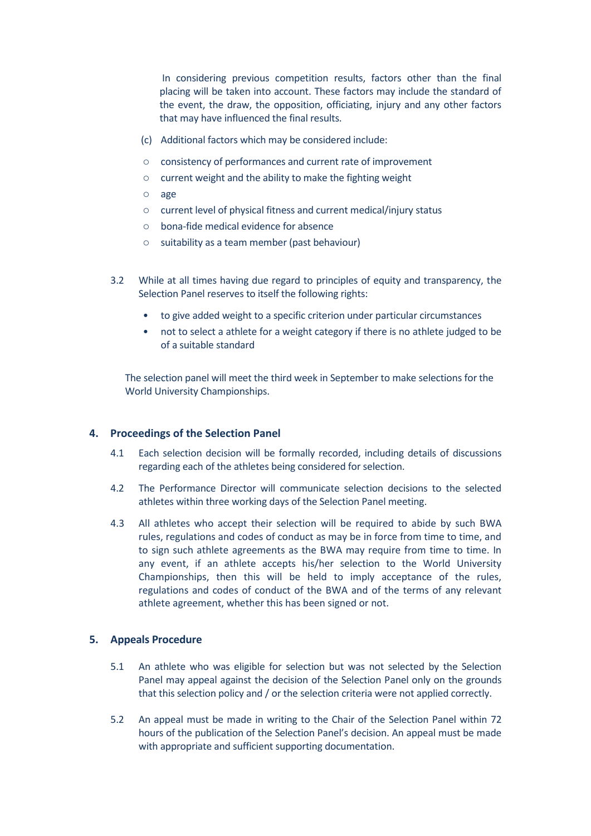In considering previous competition results, factors other than the final placing will be taken into account. These factors may include the standard of the event, the draw, the opposition, officiating, injury and any other factors that may have influenced the final results.

- (c) Additional factors which may be considered include:
- o consistency of performances and current rate of improvement
- o current weight and the ability to make the fighting weight
- o age
- o current level of physical fitness and current medical/injury status
- o bona-fide medical evidence for absence
- o suitability as a team member (past behaviour)
- 3.2 While at all times having due regard to principles of equity and transparency, the Selection Panel reserves to itself the following rights:
	- to give added weight to a specific criterion under particular circumstances
	- not to select a athlete for a weight category if there is no athlete judged to be of a suitable standard

The selection panel will meet the third week in September to make selections for the World University Championships.

### **4. Proceedings of the Selection Panel**

- 4.1 Each selection decision will be formally recorded, including details of discussions regarding each of the athletes being considered for selection.
- 4.2 The Performance Director will communicate selection decisions to the selected athletes within three working days of the Selection Panel meeting.
- 4.3 All athletes who accept their selection will be required to abide by such BWA rules, regulations and codes of conduct as may be in force from time to time, and to sign such athlete agreements as the BWA may require from time to time. In any event, if an athlete accepts his/her selection to the World University Championships, then this will be held to imply acceptance of the rules, regulations and codes of conduct of the BWA and of the terms of any relevant athlete agreement, whether this has been signed or not.

### **5. Appeals Procedure**

- 5.1 An athlete who was eligible for selection but was not selected by the Selection Panel may appeal against the decision of the Selection Panel only on the grounds that this selection policy and / or the selection criteria were not applied correctly.
- 5.2 An appeal must be made in writing to the Chair of the Selection Panel within 72 hours of the publication of the Selection Panel's decision. An appeal must be made with appropriate and sufficient supporting documentation.